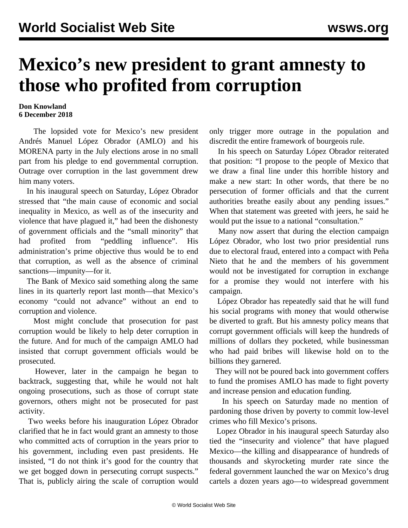## **Mexico's new president to grant amnesty to those who profited from corruption**

## **Don Knowland 6 December 2018**

 The lopsided vote for Mexico's new president Andrés Manuel López Obrador (AMLO) and his MORENA party in the July elections arose in no small part from his pledge to end governmental corruption. Outrage over corruption in the last government drew him many voters.

 In his inaugural speech on Saturday, López Obrador stressed that "the main cause of economic and social inequality in Mexico, as well as of the insecurity and violence that have plagued it," had been the dishonesty of government officials and the "small minority" that had profited from "peddling influence". His administration's prime objective thus would be to end that corruption, as well as the absence of criminal sanctions—impunity—for it.

 The Bank of Mexico said something along the same lines in its quarterly report last month—that Mexico's economy "could not advance" without an end to corruption and violence.

 Most might conclude that prosecution for past corruption would be likely to help deter corruption in the future. And for much of the campaign AMLO had insisted that corrupt government officials would be prosecuted.

 However, later in the campaign he began to backtrack, suggesting that, while he would not halt ongoing prosecutions, such as those of corrupt state governors, others might not be prosecuted for past activity.

 Two weeks before his inauguration López Obrador clarified that he in fact would grant an amnesty to those who committed acts of corruption in the years prior to his government, including even past presidents. He insisted, "I do not think it's good for the country that we get bogged down in persecuting corrupt suspects." That is, publicly airing the scale of corruption would only trigger more outrage in the population and discredit the entire framework of bourgeois rule.

 In his speech on Saturday López Obrador reiterated that position: "I propose to the people of Mexico that we draw a final line under this horrible history and make a new start: In other words, that there be no persecution of former officials and that the current authorities breathe easily about any pending issues." When that statement was greeted with jeers, he said he would put the issue to a national "consultation."

 Many now assert that during the election campaign López Obrador, who lost two prior presidential runs due to electoral fraud, entered into a compact with Peña Nieto that he and the members of his government would not be investigated for corruption in exchange for a promise they would not interfere with his campaign.

 López Obrador has repeatedly said that he will fund his social programs with money that would otherwise be diverted to graft. But his amnesty policy means that corrupt government officials will keep the hundreds of millions of dollars they pocketed, while businessman who had paid bribes will likewise hold on to the billions they garnered.

 They will not be poured back into government coffers to fund the promises AMLO has made to fight poverty and increase pension and education funding.

 In his speech on Saturday made no mention of pardoning those driven by poverty to commit low-level crimes who fill Mexico's prisons.

 Lopez Obrador in his inaugural speech Saturday also tied the "insecurity and violence" that have plagued Mexico—the killing and disappearance of hundreds of thousands and skyrocketing murder rate since the federal government launched the war on Mexico's drug cartels a dozen years ago—to widespread government